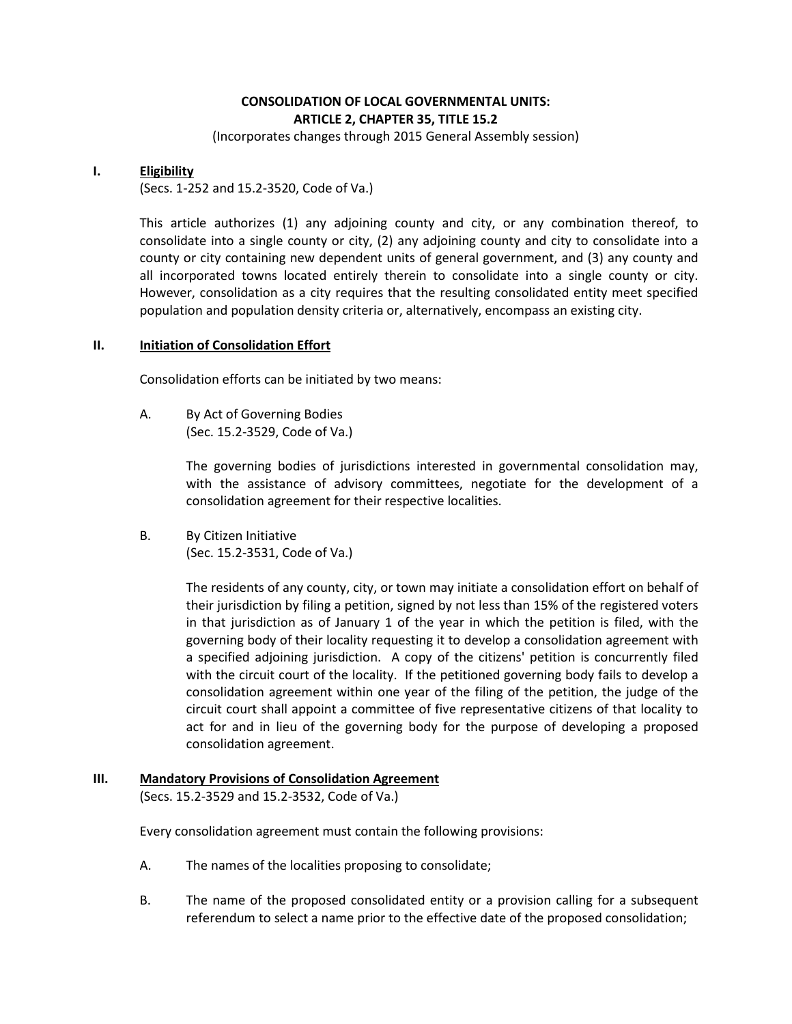# **CONSOLIDATION OF LOCAL GOVERNMENTAL UNITS: ARTICLE 2, CHAPTER 35, TITLE 15.2**

(Incorporates changes through 2015 General Assembly session)

#### **I. Eligibility**

(Secs. 1-252 and 15.2-3520, Code of Va.)

This article authorizes (1) any adjoining county and city, or any combination thereof, to consolidate into a single county or city, (2) any adjoining county and city to consolidate into a county or city containing new dependent units of general government, and (3) any county and all incorporated towns located entirely therein to consolidate into a single county or city. However, consolidation as a city requires that the resulting consolidated entity meet specified population and population density criteria or, alternatively, encompass an existing city.

#### **II. Initiation of Consolidation Effort**

Consolidation efforts can be initiated by two means:

A. By Act of Governing Bodies (Sec. 15.2-3529, Code of Va.)

> The governing bodies of jurisdictions interested in governmental consolidation may, with the assistance of advisory committees, negotiate for the development of a consolidation agreement for their respective localities.

B. By Citizen Initiative (Sec. 15.2-3531, Code of Va.)

> The residents of any county, city, or town may initiate a consolidation effort on behalf of their jurisdiction by filing a petition, signed by not less than 15% of the registered voters in that jurisdiction as of January 1 of the year in which the petition is filed, with the governing body of their locality requesting it to develop a consolidation agreement with a specified adjoining jurisdiction. A copy of the citizens' petition is concurrently filed with the circuit court of the locality. If the petitioned governing body fails to develop a consolidation agreement within one year of the filing of the petition, the judge of the circuit court shall appoint a committee of five representative citizens of that locality to act for and in lieu of the governing body for the purpose of developing a proposed consolidation agreement.

# **III. Mandatory Provisions of Consolidation Agreement**

(Secs. 15.2-3529 and 15.2-3532, Code of Va.)

Every consolidation agreement must contain the following provisions:

- A. The names of the localities proposing to consolidate;
- B. The name of the proposed consolidated entity or a provision calling for a subsequent referendum to select a name prior to the effective date of the proposed consolidation;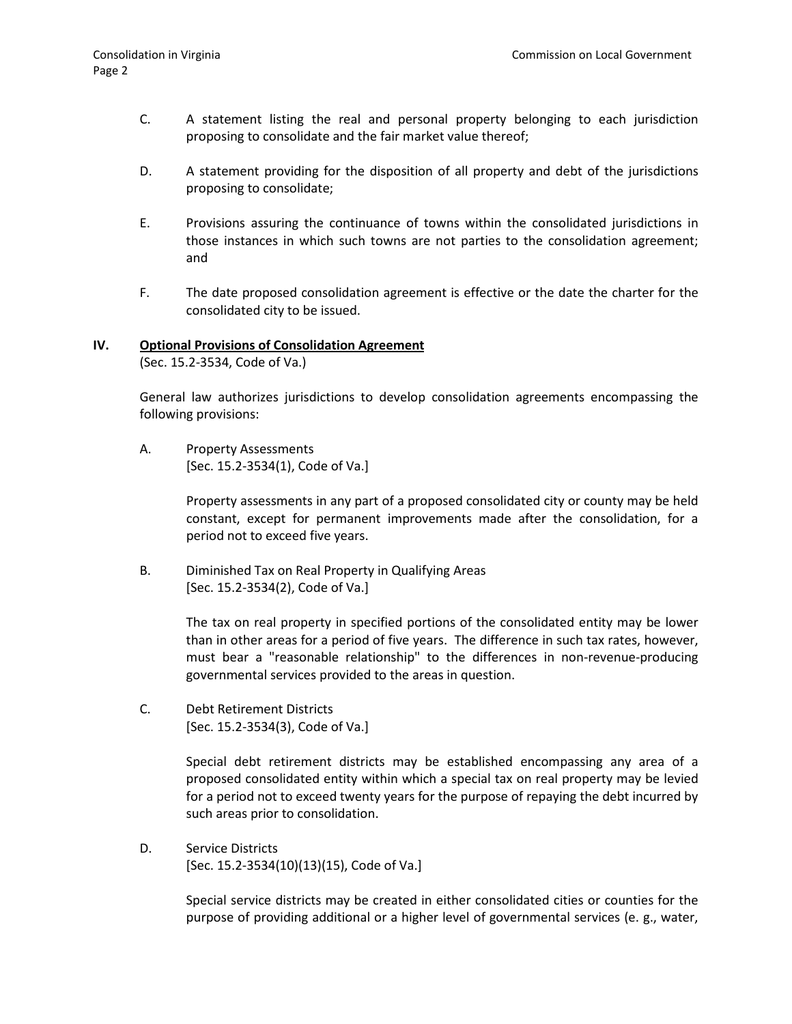- C. A statement listing the real and personal property belonging to each jurisdiction proposing to consolidate and the fair market value thereof;
- D. A statement providing for the disposition of all property and debt of the jurisdictions proposing to consolidate;
- E. Provisions assuring the continuance of towns within the consolidated jurisdictions in those instances in which such towns are not parties to the consolidation agreement; and
- F. The date proposed consolidation agreement is effective or the date the charter for the consolidated city to be issued.

#### **IV. Optional Provisions of Consolidation Agreement**

(Sec. 15.2-3534, Code of Va.)

General law authorizes jurisdictions to develop consolidation agreements encompassing the following provisions:

A. Property Assessments [Sec. 15.2-3534(1), Code of Va.]

> Property assessments in any part of a proposed consolidated city or county may be held constant, except for permanent improvements made after the consolidation, for a period not to exceed five years.

B. Diminished Tax on Real Property in Qualifying Areas [Sec. 15.2-3534(2), Code of Va.]

> The tax on real property in specified portions of the consolidated entity may be lower than in other areas for a period of five years. The difference in such tax rates, however, must bear a "reasonable relationship" to the differences in non-revenue-producing governmental services provided to the areas in question.

C. Debt Retirement Districts [Sec. 15.2-3534(3), Code of Va.]

> Special debt retirement districts may be established encompassing any area of a proposed consolidated entity within which a special tax on real property may be levied for a period not to exceed twenty years for the purpose of repaying the debt incurred by such areas prior to consolidation.

D. Service Districts [Sec. 15.2-3534(10)(13)(15), Code of Va.]

> Special service districts may be created in either consolidated cities or counties for the purpose of providing additional or a higher level of governmental services (e. g., water,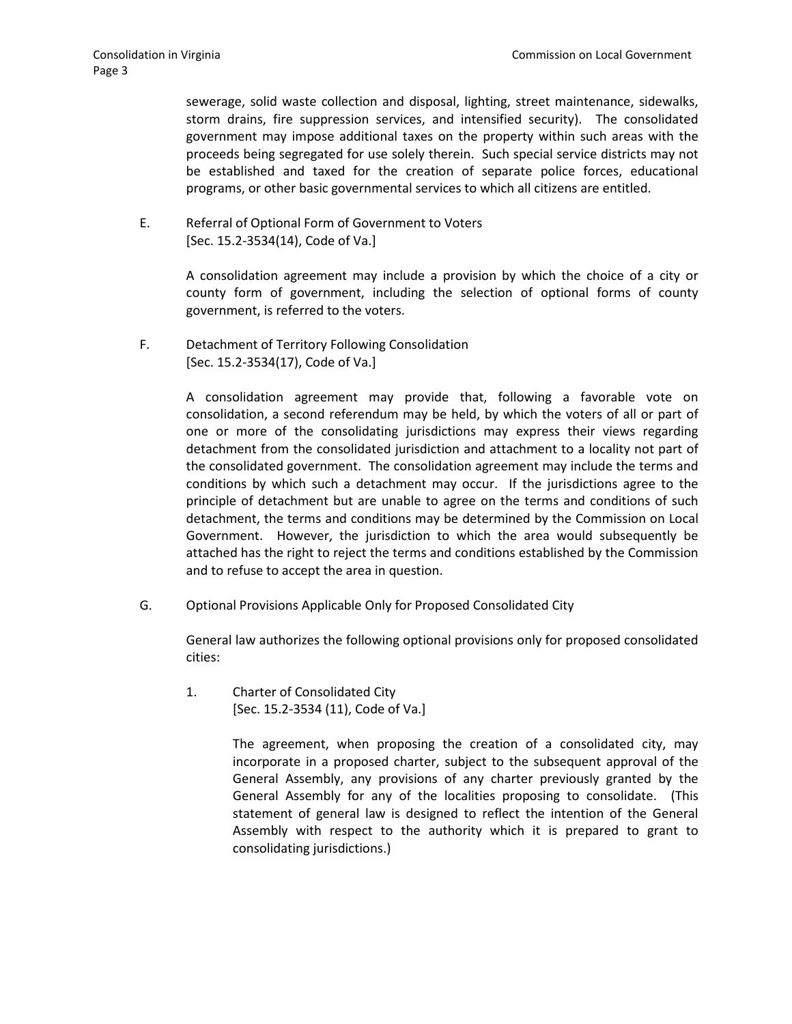sewerage, solid waste collection and disposal, lighting, street maintenance, sidewalks, storm drains, fire suppression services, and intensified security). The consolidated government may impose additional taxes on the property within such areas with the proceeds being segregated for use solely therein. Such special service districts may not be established and taxed for the creation of separate police forces, educational programs, or other basic governmental services to which all citizens are entitled.

E. Referral of Optional Form of Government to Voters [Sec. 15.2-3534(14), Code of Va.]

> A consolidation agreement may include a provision by which the choice of a city or county form of government, including the selection of optional forms of county government, is referred to the voters.

F. Detachment of Territory Following Consolidation [Sec. 15.2-3534(17), Code of Va.]

> A consolidation agreement may provide that, following a favorable vote on consolidation, a second referendum may be held, by which the voters of all or part of one or more of the consolidating jurisdictions may express their views regarding detachment from the consolidated jurisdiction and attachment to a locality not part of the consolidated government. The consolidation agreement may include the terms and conditions by which such a detachment may occur. If the jurisdictions agree to the principle of detachment but are unable to agree on the terms and conditions of such detachment, the terms and conditions may be determined by the Commission on Local Government. However, the jurisdiction to which the area would subsequently be attached has the right to reject the terms and conditions established by the Commission and to refuse to accept the area in question.

G. Optional Provisions Applicable Only for Proposed Consolidated City

General law authorizes the following optional provisions only for proposed consolidated cities:

1. Charter of Consolidated City [Sec. 15.2-3534 (11), Code of Va.]

> The agreement, when proposing the creation of a consolidated city, may incorporate in a proposed charter, subject to the subsequent approval of the General Assembly, any provisions of any charter previously granted by the General Assembly for any of the localities proposing to consolidate. (This statement of general law is designed to reflect the intention of the General Assembly with respect to the authority which it is prepared to grant to consolidating jurisdictions.)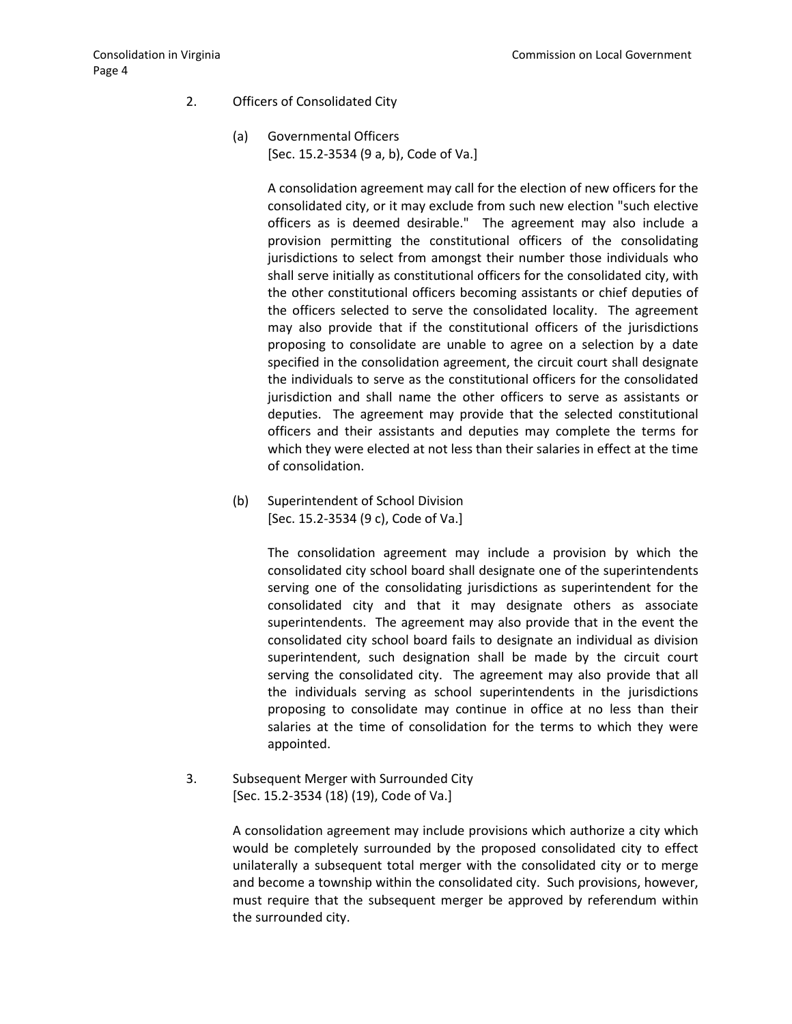- 2. Officers of Consolidated City
	- (a) Governmental Officers [Sec. 15.2-3534 (9 a, b), Code of Va.]

A consolidation agreement may call for the election of new officers for the consolidated city, or it may exclude from such new election "such elective officers as is deemed desirable." The agreement may also include a provision permitting the constitutional officers of the consolidating jurisdictions to select from amongst their number those individuals who shall serve initially as constitutional officers for the consolidated city, with the other constitutional officers becoming assistants or chief deputies of the officers selected to serve the consolidated locality. The agreement may also provide that if the constitutional officers of the jurisdictions proposing to consolidate are unable to agree on a selection by a date specified in the consolidation agreement, the circuit court shall designate the individuals to serve as the constitutional officers for the consolidated jurisdiction and shall name the other officers to serve as assistants or deputies. The agreement may provide that the selected constitutional officers and their assistants and deputies may complete the terms for which they were elected at not less than their salaries in effect at the time of consolidation.

(b) Superintendent of School Division [Sec. 15.2-3534 (9 c), Code of Va.]

> The consolidation agreement may include a provision by which the consolidated city school board shall designate one of the superintendents serving one of the consolidating jurisdictions as superintendent for the consolidated city and that it may designate others as associate superintendents. The agreement may also provide that in the event the consolidated city school board fails to designate an individual as division superintendent, such designation shall be made by the circuit court serving the consolidated city. The agreement may also provide that all the individuals serving as school superintendents in the jurisdictions proposing to consolidate may continue in office at no less than their salaries at the time of consolidation for the terms to which they were appointed.

3. Subsequent Merger with Surrounded City [Sec. 15.2-3534 (18) (19), Code of Va.]

> A consolidation agreement may include provisions which authorize a city which would be completely surrounded by the proposed consolidated city to effect unilaterally a subsequent total merger with the consolidated city or to merge and become a township within the consolidated city. Such provisions, however, must require that the subsequent merger be approved by referendum within the surrounded city.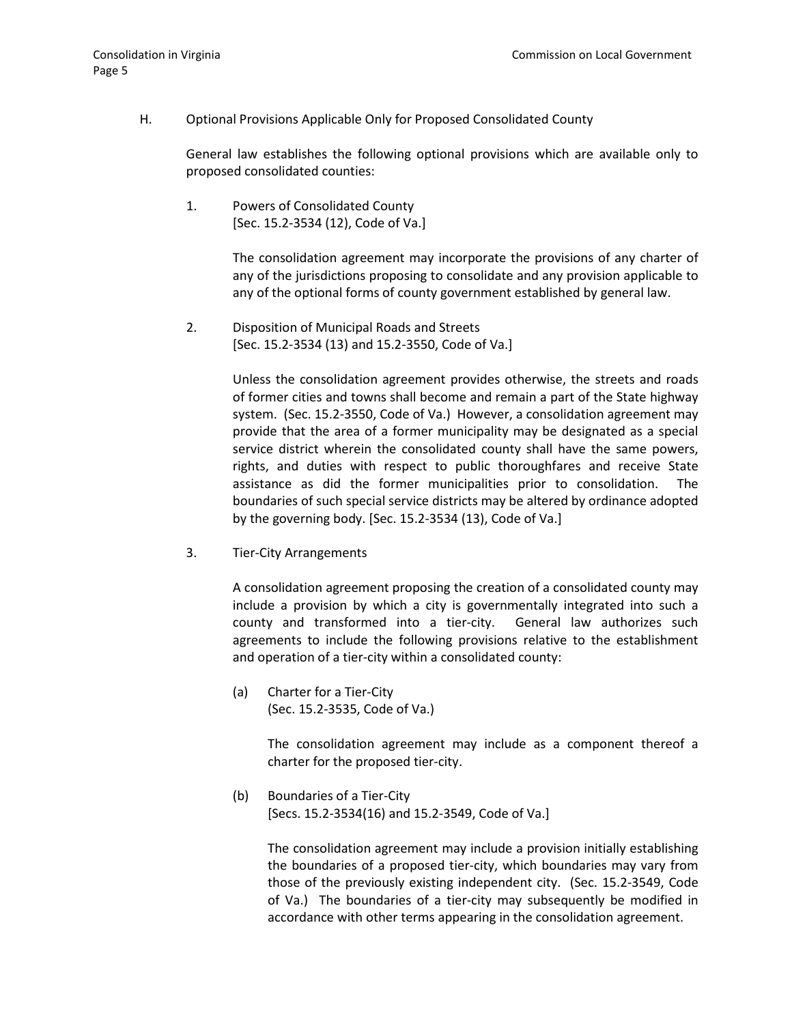### H. Optional Provisions Applicable Only for Proposed Consolidated County

General law establishes the following optional provisions which are available only to proposed consolidated counties:

1. Powers of Consolidated County [Sec. 15.2-3534 (12), Code of Va.]

> The consolidation agreement may incorporate the provisions of any charter of any of the jurisdictions proposing to consolidate and any provision applicable to any of the optional forms of county government established by general law.

2. Disposition of Municipal Roads and Streets [Sec. 15.2-3534 (13) and 15.2-3550, Code of Va.]

> Unless the consolidation agreement provides otherwise, the streets and roads of former cities and towns shall become and remain a part of the State highway system. (Sec. 15.2-3550, Code of Va.) However, a consolidation agreement may provide that the area of a former municipality may be designated as a special service district wherein the consolidated county shall have the same powers, rights, and duties with respect to public thoroughfares and receive State assistance as did the former municipalities prior to consolidation. The boundaries of such special service districts may be altered by ordinance adopted by the governing body. [Sec. 15.2-3534 (13), Code of Va.]

3. Tier-City Arrangements

A consolidation agreement proposing the creation of a consolidated county may include a provision by which a city is governmentally integrated into such a county and transformed into a tier-city. General law authorizes such agreements to include the following provisions relative to the establishment and operation of a tier-city within a consolidated county:

(a) Charter for a Tier-City (Sec. 15.2-3535, Code of Va.)

> The consolidation agreement may include as a component thereof a charter for the proposed tier-city.

(b) Boundaries of a Tier-City [Secs. 15.2-3534(16) and 15.2-3549, Code of Va.]

> The consolidation agreement may include a provision initially establishing the boundaries of a proposed tier-city, which boundaries may vary from those of the previously existing independent city. (Sec. 15.2-3549, Code of Va.) The boundaries of a tier-city may subsequently be modified in accordance with other terms appearing in the consolidation agreement.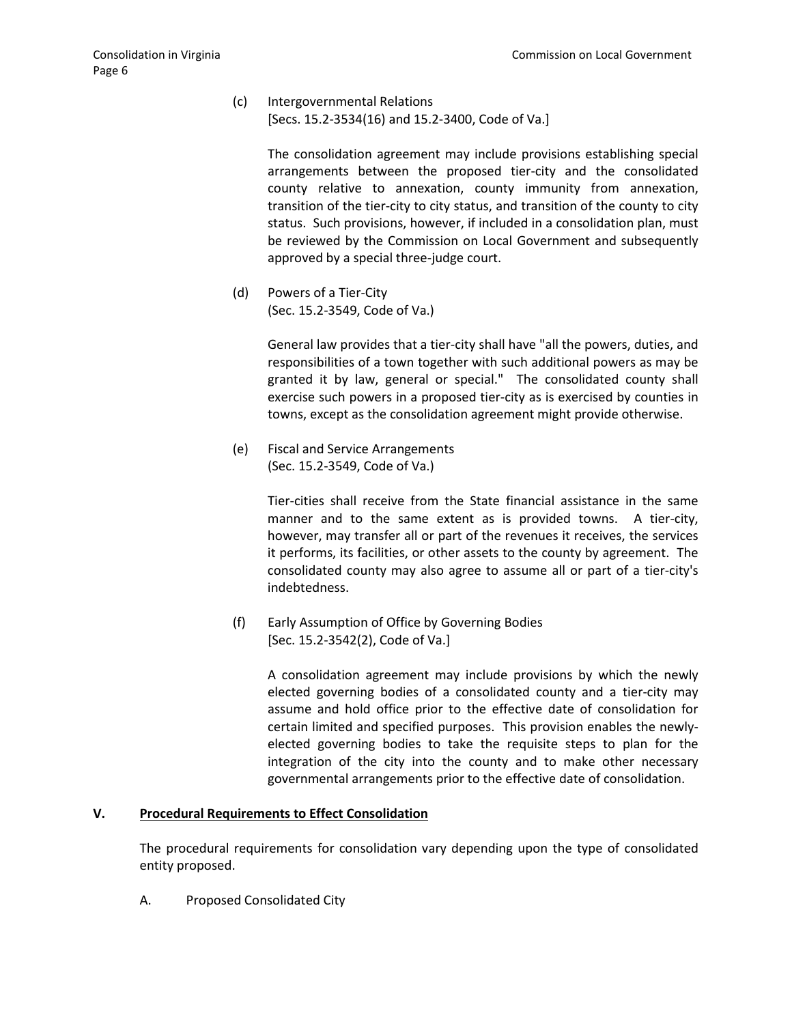(c) Intergovernmental Relations [Secs. 15.2-3534(16) and 15.2-3400, Code of Va.]

> The consolidation agreement may include provisions establishing special arrangements between the proposed tier-city and the consolidated county relative to annexation, county immunity from annexation, transition of the tier-city to city status, and transition of the county to city status. Such provisions, however, if included in a consolidation plan, must be reviewed by the Commission on Local Government and subsequently approved by a special three-judge court.

(d) Powers of a Tier-City (Sec. 15.2-3549, Code of Va.)

> General law provides that a tier-city shall have "all the powers, duties, and responsibilities of a town together with such additional powers as may be granted it by law, general or special." The consolidated county shall exercise such powers in a proposed tier-city as is exercised by counties in towns, except as the consolidation agreement might provide otherwise.

(e) Fiscal and Service Arrangements (Sec. 15.2-3549, Code of Va.)

> Tier-cities shall receive from the State financial assistance in the same manner and to the same extent as is provided towns. A tier-city, however, may transfer all or part of the revenues it receives, the services it performs, its facilities, or other assets to the county by agreement. The consolidated county may also agree to assume all or part of a tier-city's indebtedness.

(f) Early Assumption of Office by Governing Bodies [Sec. 15.2-3542(2), Code of Va.]

> A consolidation agreement may include provisions by which the newly elected governing bodies of a consolidated county and a tier-city may assume and hold office prior to the effective date of consolidation for certain limited and specified purposes. This provision enables the newlyelected governing bodies to take the requisite steps to plan for the integration of the city into the county and to make other necessary governmental arrangements prior to the effective date of consolidation.

#### **V. Procedural Requirements to Effect Consolidation**

The procedural requirements for consolidation vary depending upon the type of consolidated entity proposed.

A. Proposed Consolidated City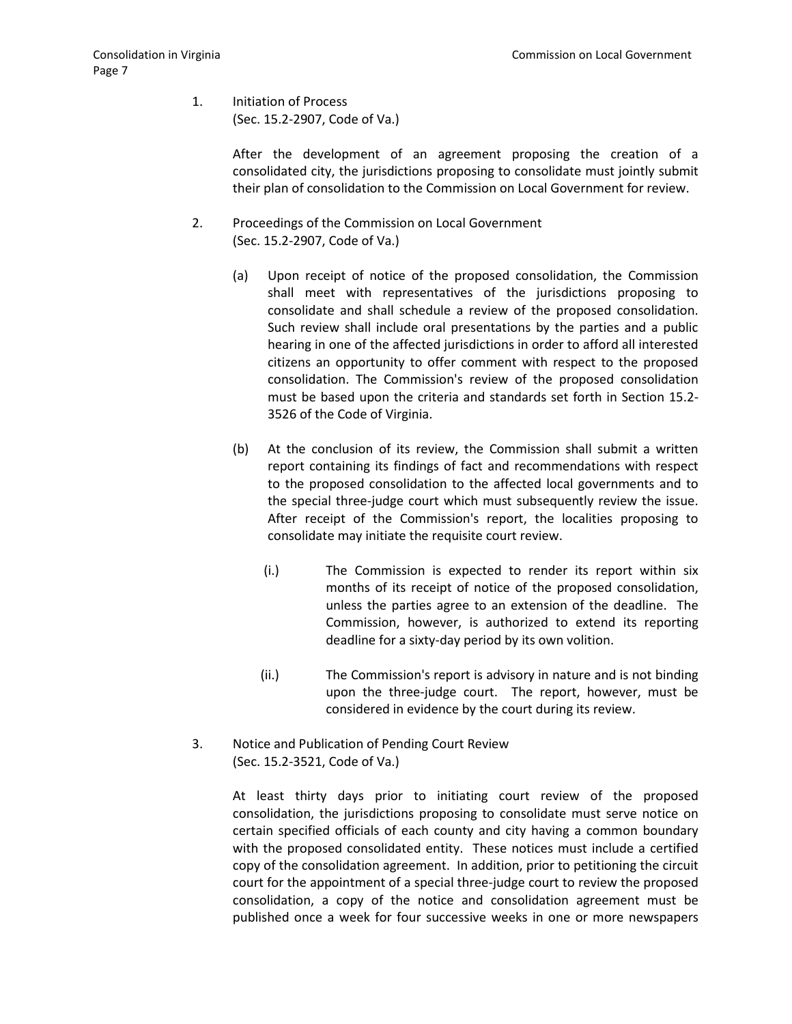1. Initiation of Process (Sec. 15.2-2907, Code of Va.)

> After the development of an agreement proposing the creation of a consolidated city, the jurisdictions proposing to consolidate must jointly submit their plan of consolidation to the Commission on Local Government for review.

- 2. Proceedings of the Commission on Local Government (Sec. 15.2-2907, Code of Va.)
	- (a) Upon receipt of notice of the proposed consolidation, the Commission shall meet with representatives of the jurisdictions proposing to consolidate and shall schedule a review of the proposed consolidation. Such review shall include oral presentations by the parties and a public hearing in one of the affected jurisdictions in order to afford all interested citizens an opportunity to offer comment with respect to the proposed consolidation. The Commission's review of the proposed consolidation must be based upon the criteria and standards set forth in Section 15.2- 3526 of the Code of Virginia.
	- (b) At the conclusion of its review, the Commission shall submit a written report containing its findings of fact and recommendations with respect to the proposed consolidation to the affected local governments and to the special three-judge court which must subsequently review the issue. After receipt of the Commission's report, the localities proposing to consolidate may initiate the requisite court review.
		- (i.) The Commission is expected to render its report within six months of its receipt of notice of the proposed consolidation, unless the parties agree to an extension of the deadline. The Commission, however, is authorized to extend its reporting deadline for a sixty-day period by its own volition.
		- (ii.) The Commission's report is advisory in nature and is not binding upon the three-judge court. The report, however, must be considered in evidence by the court during its review.
- 3. Notice and Publication of Pending Court Review (Sec. 15.2-3521, Code of Va.)

At least thirty days prior to initiating court review of the proposed consolidation, the jurisdictions proposing to consolidate must serve notice on certain specified officials of each county and city having a common boundary with the proposed consolidated entity. These notices must include a certified copy of the consolidation agreement. In addition, prior to petitioning the circuit court for the appointment of a special three-judge court to review the proposed consolidation, a copy of the notice and consolidation agreement must be published once a week for four successive weeks in one or more newspapers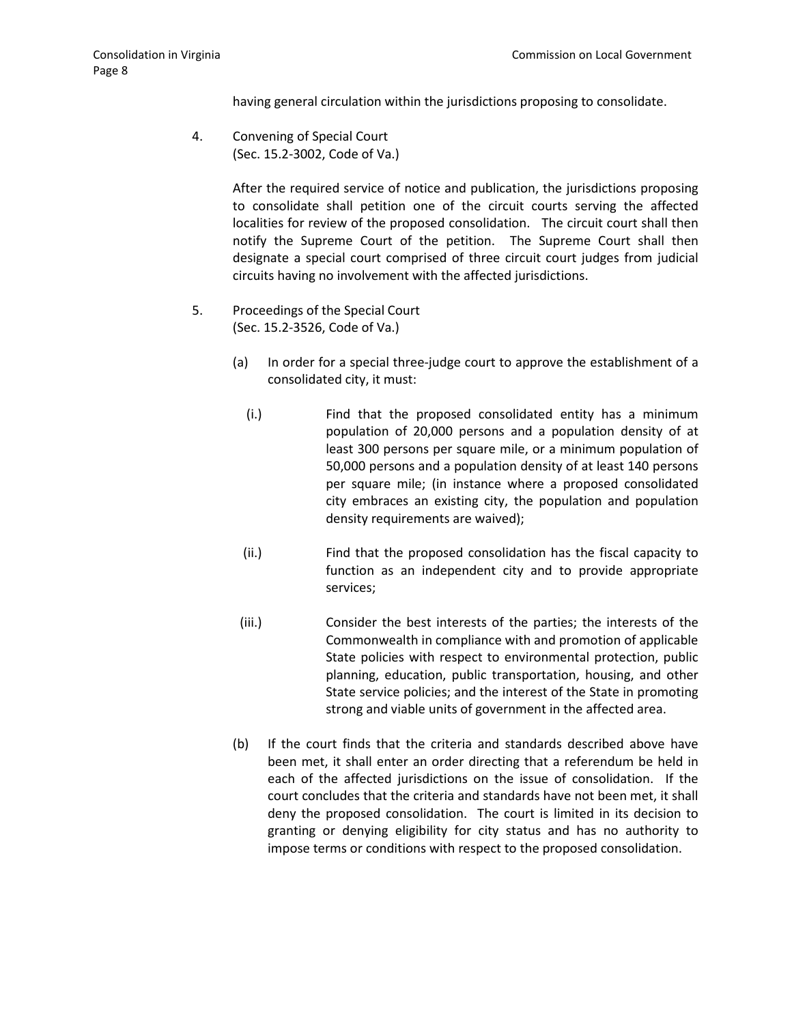having general circulation within the jurisdictions proposing to consolidate.

4. Convening of Special Court (Sec. 15.2-3002, Code of Va.)

> After the required service of notice and publication, the jurisdictions proposing to consolidate shall petition one of the circuit courts serving the affected localities for review of the proposed consolidation. The circuit court shall then notify the Supreme Court of the petition. The Supreme Court shall then designate a special court comprised of three circuit court judges from judicial circuits having no involvement with the affected jurisdictions.

- 5. Proceedings of the Special Court (Sec. 15.2-3526, Code of Va.)
	- (a) In order for a special three-judge court to approve the establishment of a consolidated city, it must:
		- (i.) Find that the proposed consolidated entity has a minimum population of 20,000 persons and a population density of at least 300 persons per square mile, or a minimum population of 50,000 persons and a population density of at least 140 persons per square mile; (in instance where a proposed consolidated city embraces an existing city, the population and population density requirements are waived);
	- (ii.) Find that the proposed consolidation has the fiscal capacity to function as an independent city and to provide appropriate services;
	- (iii.) Consider the best interests of the parties; the interests of the Commonwealth in compliance with and promotion of applicable State policies with respect to environmental protection, public planning, education, public transportation, housing, and other State service policies; and the interest of the State in promoting strong and viable units of government in the affected area.
	- (b) If the court finds that the criteria and standards described above have been met, it shall enter an order directing that a referendum be held in each of the affected jurisdictions on the issue of consolidation. If the court concludes that the criteria and standards have not been met, it shall deny the proposed consolidation. The court is limited in its decision to granting or denying eligibility for city status and has no authority to impose terms or conditions with respect to the proposed consolidation.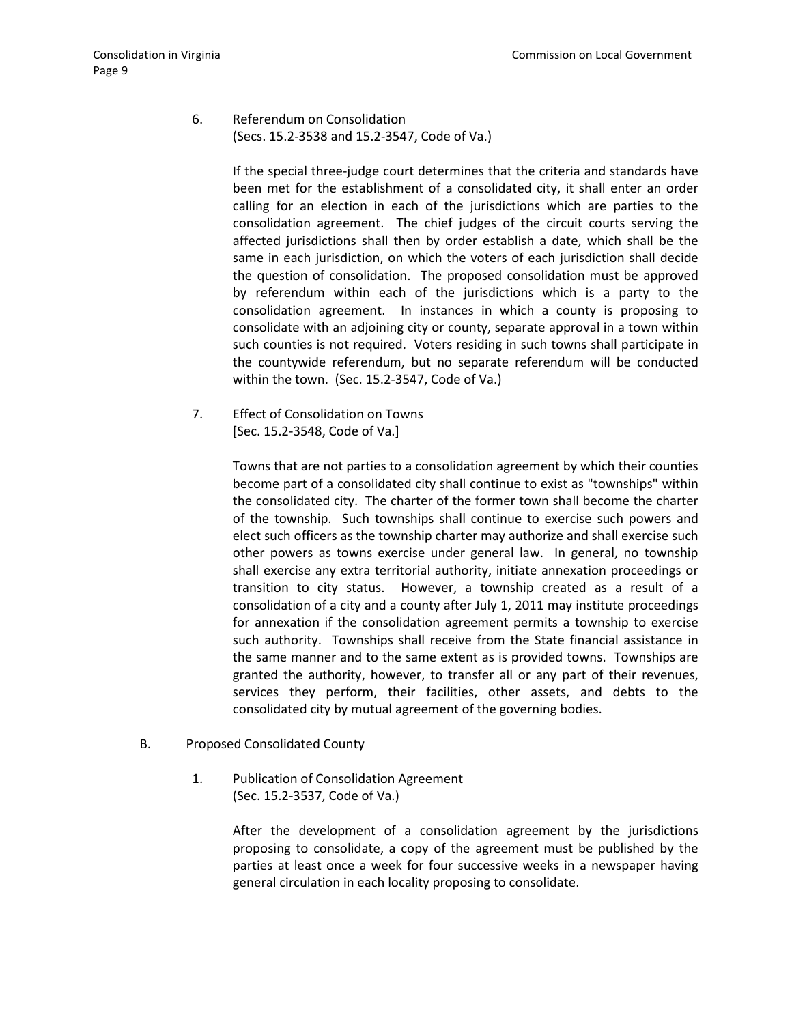6. Referendum on Consolidation (Secs. 15.2-3538 and 15.2-3547, Code of Va.)

> If the special three-judge court determines that the criteria and standards have been met for the establishment of a consolidated city, it shall enter an order calling for an election in each of the jurisdictions which are parties to the consolidation agreement. The chief judges of the circuit courts serving the affected jurisdictions shall then by order establish a date, which shall be the same in each jurisdiction, on which the voters of each jurisdiction shall decide the question of consolidation. The proposed consolidation must be approved by referendum within each of the jurisdictions which is a party to the consolidation agreement. In instances in which a county is proposing to consolidate with an adjoining city or county, separate approval in a town within such counties is not required. Voters residing in such towns shall participate in the countywide referendum, but no separate referendum will be conducted within the town. (Sec. 15.2-3547, Code of Va.)

7. Effect of Consolidation on Towns [Sec. 15.2-3548, Code of Va.]

> Towns that are not parties to a consolidation agreement by which their counties become part of a consolidated city shall continue to exist as "townships" within the consolidated city. The charter of the former town shall become the charter of the township. Such townships shall continue to exercise such powers and elect such officers as the township charter may authorize and shall exercise such other powers as towns exercise under general law. In general, no township shall exercise any extra territorial authority, initiate annexation proceedings or transition to city status. However, a township created as a result of a consolidation of a city and a county after July 1, 2011 may institute proceedings for annexation if the consolidation agreement permits a township to exercise such authority. Townships shall receive from the State financial assistance in the same manner and to the same extent as is provided towns. Townships are granted the authority, however, to transfer all or any part of their revenues, services they perform, their facilities, other assets, and debts to the consolidated city by mutual agreement of the governing bodies.

- B. Proposed Consolidated County
	- 1. Publication of Consolidation Agreement (Sec. 15.2-3537, Code of Va.)

After the development of a consolidation agreement by the jurisdictions proposing to consolidate, a copy of the agreement must be published by the parties at least once a week for four successive weeks in a newspaper having general circulation in each locality proposing to consolidate.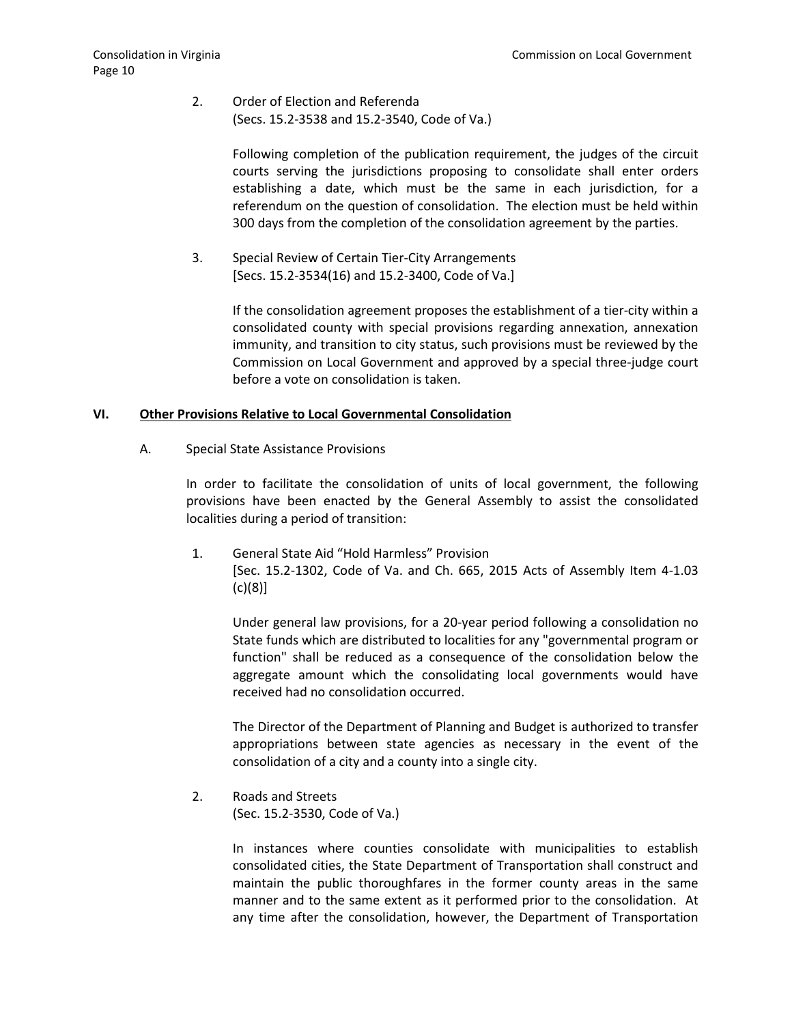2. Order of Election and Referenda (Secs. 15.2-3538 and 15.2-3540, Code of Va.)

> Following completion of the publication requirement, the judges of the circuit courts serving the jurisdictions proposing to consolidate shall enter orders establishing a date, which must be the same in each jurisdiction, for a referendum on the question of consolidation. The election must be held within 300 days from the completion of the consolidation agreement by the parties.

3. Special Review of Certain Tier-City Arrangements [Secs. 15.2-3534(16) and 15.2-3400, Code of Va.]

> If the consolidation agreement proposes the establishment of a tier-city within a consolidated county with special provisions regarding annexation, annexation immunity, and transition to city status, such provisions must be reviewed by the Commission on Local Government and approved by a special three-judge court before a vote on consolidation is taken.

## **VI. Other Provisions Relative to Local Governmental Consolidation**

A. Special State Assistance Provisions

In order to facilitate the consolidation of units of local government, the following provisions have been enacted by the General Assembly to assist the consolidated localities during a period of transition:

1. General State Aid "Hold Harmless" Provision [Sec. 15.2-1302, Code of Va. and Ch. 665, 2015 Acts of Assembly Item 4-1.03 (c)(8)]

Under general law provisions, for a 20-year period following a consolidation no State funds which are distributed to localities for any "governmental program or function" shall be reduced as a consequence of the consolidation below the aggregate amount which the consolidating local governments would have received had no consolidation occurred.

The Director of the Department of Planning and Budget is authorized to transfer appropriations between state agencies as necessary in the event of the consolidation of a city and a county into a single city.

2. Roads and Streets (Sec. 15.2-3530, Code of Va.)

> In instances where counties consolidate with municipalities to establish consolidated cities, the State Department of Transportation shall construct and maintain the public thoroughfares in the former county areas in the same manner and to the same extent as it performed prior to the consolidation. At any time after the consolidation, however, the Department of Transportation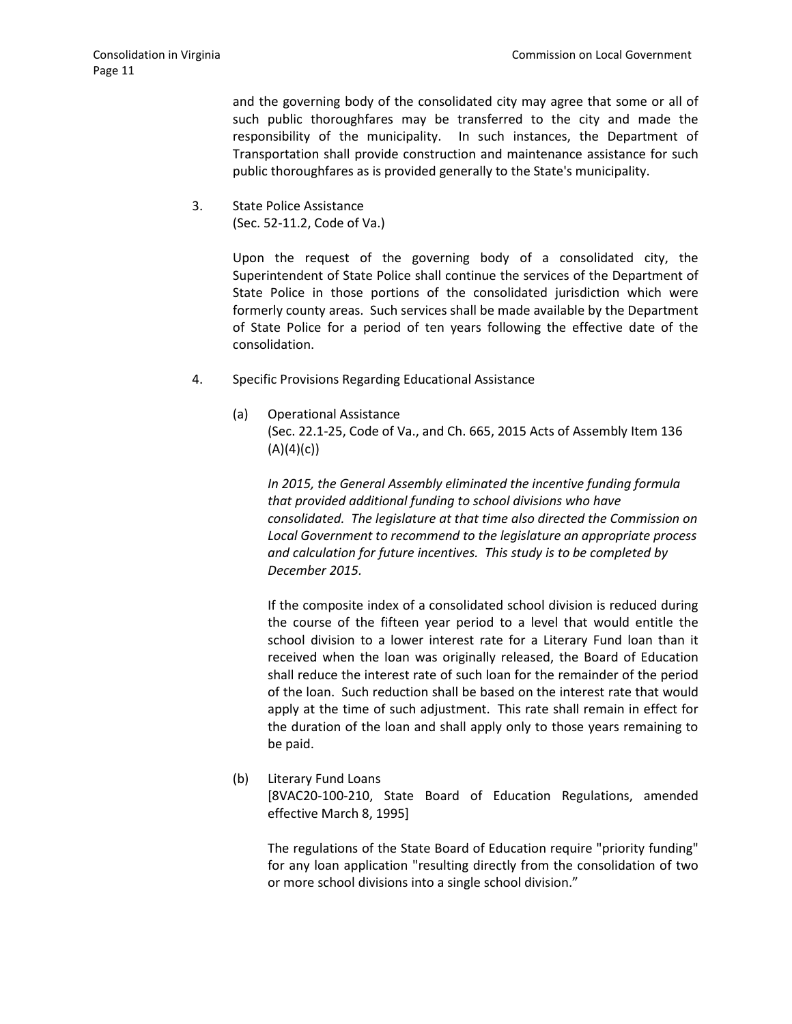and the governing body of the consolidated city may agree that some or all of such public thoroughfares may be transferred to the city and made the responsibility of the municipality. In such instances, the Department of Transportation shall provide construction and maintenance assistance for such public thoroughfares as is provided generally to the State's municipality.

3. State Police Assistance (Sec. 52-11.2, Code of Va.)

> Upon the request of the governing body of a consolidated city, the Superintendent of State Police shall continue the services of the Department of State Police in those portions of the consolidated jurisdiction which were formerly county areas. Such services shall be made available by the Department of State Police for a period of ten years following the effective date of the consolidation.

- 4. Specific Provisions Regarding Educational Assistance
	- (a) Operational Assistance (Sec. 22.1-25, Code of Va., and Ch. 665, 2015 Acts of Assembly Item 136  $(A)(4)(c)$

*In 2015, the General Assembly eliminated the incentive funding formula that provided additional funding to school divisions who have consolidated. The legislature at that time also directed the Commission on Local Government to recommend to the legislature an appropriate process and calculation for future incentives. This study is to be completed by December 2015.*

If the composite index of a consolidated school division is reduced during the course of the fifteen year period to a level that would entitle the school division to a lower interest rate for a Literary Fund loan than it received when the loan was originally released, the Board of Education shall reduce the interest rate of such loan for the remainder of the period of the loan. Such reduction shall be based on the interest rate that would apply at the time of such adjustment. This rate shall remain in effect for the duration of the loan and shall apply only to those years remaining to be paid.

(b) Literary Fund Loans

[8VAC20-100-210, State Board of Education Regulations, amended effective March 8, 1995]

The regulations of the State Board of Education require "priority funding" for any loan application "resulting directly from the consolidation of two or more school divisions into a single school division."